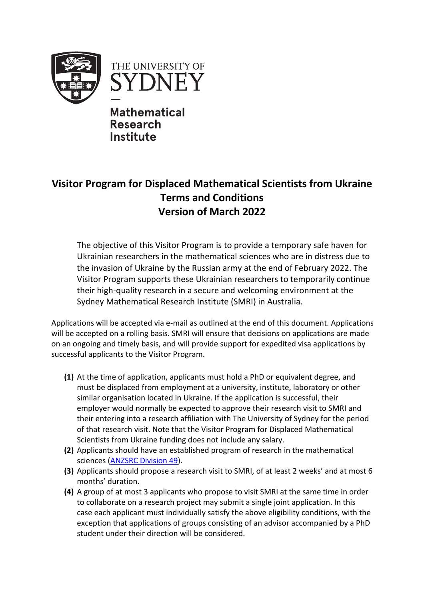



**Mathematical Research Institute**

## **Visitor Program for Displaced Mathematical Scientists from Ukraine Terms and Conditions Version of March 2022**

The objective of this Visitor Program is to provide a temporary safe haven for Ukrainian researchers in the mathematical sciences who are in distress due to the invasion of Ukraine by the Russian army at the end of February 2022. The Visitor Program supports these Ukrainian researchers to temporarily continue their high-quality research in a secure and welcoming environment at the Sydney Mathematical Research Institute (SMRI) in Australia.

Applications will be accepted via e-mail as outlined at the end of this document. Applications will be accepted on a rolling basis. SMRI will ensure that decisions on applications are made on an ongoing and timely basis, and will provide support for expedited visa applications by successful applicants to the Visitor Program.

- **(1)** At the time of application, applicants must hold a PhD or equivalent degree, and must be displaced from employment at a university, institute, laboratory or other similar organisation located in Ukraine. If the application is successful, their employer would normally be expected to approve their research visit to SMRI and their entering into a research affiliation with The University of Sydney for the period of that research visit. Note that the Visitor Program for Displaced Mathematical Scientists from Ukraine funding does not include any salary.
- **(2)** Applicants should have an established program of research in the mathematical sciences (ANZSRC Division 49).
- **(3)** Applicants should propose a research visit to SMRI, of at least 2 weeks' and at most 6 months' duration.
- **(4)** A group of at most 3 applicants who propose to visit SMRI at the same time in order to collaborate on a research project may submit a single joint application. In this case each applicant must individually satisfy the above eligibility conditions, with the exception that applications of groups consisting of an advisor accompanied by a PhD student under their direction will be considered.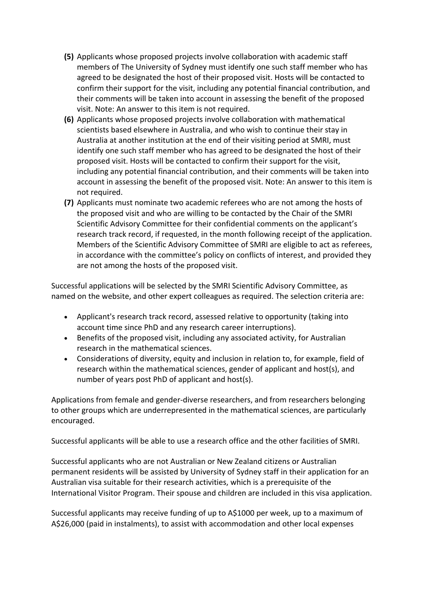- **(5)** Applicants whose proposed projects involve collaboration with academic staff members of The University of Sydney must identify one such staff member who has agreed to be designated the host of their proposed visit. Hosts will be contacted to confirm their support for the visit, including any potential financial contribution, and their comments will be taken into account in assessing the benefit of the proposed visit. Note: An answer to this item is not required.
- **(6)** Applicants whose proposed projects involve collaboration with mathematical scientists based elsewhere in Australia, and who wish to continue their stay in Australia at another institution at the end of their visiting period at SMRI, must identify one such staff member who has agreed to be designated the host of their proposed visit. Hosts will be contacted to confirm their support for the visit, including any potential financial contribution, and their comments will be taken into account in assessing the benefit of the proposed visit. Note: An answer to this item is not required.
- **(7)** Applicants must nominate two academic referees who are not among the hosts of the proposed visit and who are willing to be contacted by the Chair of the SMRI Scientific Advisory Committee for their confidential comments on the applicant's research track record, if requested, in the month following receipt of the application. Members of the Scientific Advisory Committee of SMRI are eligible to act as referees, in accordance with the committee's policy on conflicts of interest, and provided they are not among the hosts of the proposed visit.

Successful applications will be selected by the SMRI Scientific Advisory Committee, as named on the website, and other expert colleagues as required. The selection criteria are:

- Applicant's research track record, assessed relative to opportunity (taking into account time since PhD and any research career interruptions).
- Benefits of the proposed visit, including any associated activity, for Australian research in the mathematical sciences.
- Considerations of diversity, equity and inclusion in relation to, for example, field of research within the mathematical sciences, gender of applicant and host(s), and number of years post PhD of applicant and host(s).

Applications from female and gender-diverse researchers, and from researchers belonging to other groups which are underrepresented in the mathematical sciences, are particularly encouraged.

Successful applicants will be able to use a research office and the other facilities of SMRI.

Successful applicants who are not Australian or New Zealand citizens or Australian permanent residents will be assisted by University of Sydney staff in their application for an Australian visa suitable for their research activities, which is a prerequisite of the International Visitor Program. Their spouse and children are included in this visa application.

Successful applicants may receive funding of up to A\$1000 per week, up to a maximum of A\$26,000 (paid in instalments), to assist with accommodation and other local expenses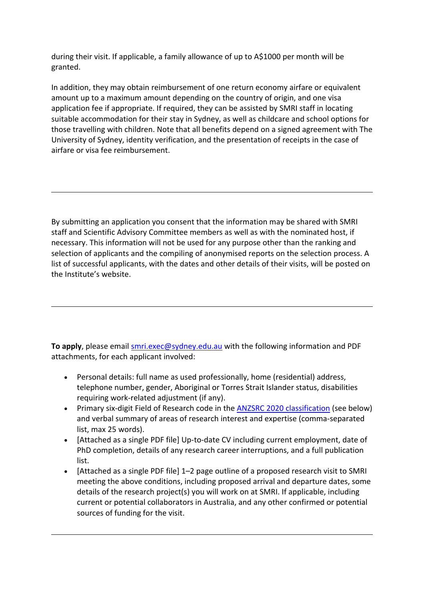during their visit. If applicable, a family allowance of up to A\$1000 per month will be granted.

In addition, they may obtain reimbursement of one return economy airfare or equivalent amount up to a maximum amount depending on the country of origin, and one visa application fee if appropriate. If required, they can be assisted by SMRI staff in locating suitable accommodation for their stay in Sydney, as well as childcare and school options for those travelling with children. Note that all benefits depend on a signed agreement with The University of Sydney, identity verification, and the presentation of receipts in the case of airfare or visa fee reimbursement.

By submitting an application you consent that the information may be shared with SMRI staff and Scientific Advisory Committee members as well as with the nominated host, if necessary. This information will not be used for any purpose other than the ranking and selection of applicants and the compiling of anonymised reports on the selection process. A list of successful applicants, with the dates and other details of their visits, will be posted on the Institute's website.

To apply, please email **smri.exec@sydney.edu.au** with the following information and PDF attachments, for each applicant involved:

- Personal details: full name as used professionally, home (residential) address, telephone number, gender, Aboriginal or Torres Strait Islander status, disabilities requiring work-related adjustment (if any).
- Primary six-digit Field of Research code in the **ANZSRC 2020 classification** (see below) and verbal summary of areas of research interest and expertise (comma-separated list, max 25 words).
- [Attached as a single PDF file] Up-to-date CV including current employment, date of PhD completion, details of any research career interruptions, and a full publication list.
- [Attached as a single PDF file] 1–2 page outline of a proposed research visit to SMRI meeting the above conditions, including proposed arrival and departure dates, some details of the research project(s) you will work on at SMRI. If applicable, including current or potential collaborators in Australia, and any other confirmed or potential sources of funding for the visit.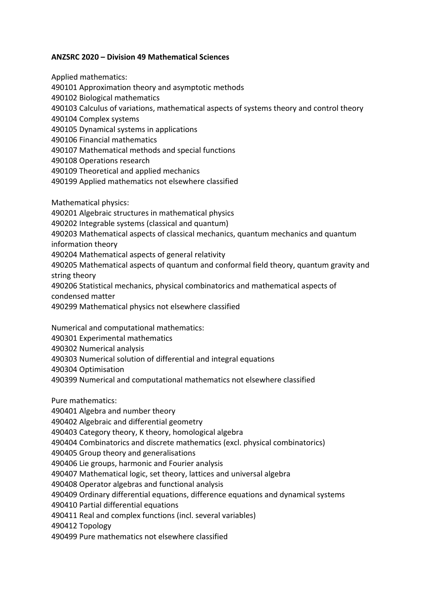## **ANZSRC 2020 – Division 49 Mathematical Sciences**

Applied mathematics: 490101 Approximation theory and asymptotic methods 490102 Biological mathematics 490103 Calculus of variations, mathematical aspects of systems theory and control theory 490104 Complex systems 490105 Dynamical systems in applications 490106 Financial mathematics 490107 Mathematical methods and special functions 490108 Operations research 490109 Theoretical and applied mechanics 490199 Applied mathematics not elsewhere classified Mathematical physics: 490201 Algebraic structures in mathematical physics 490202 Integrable systems (classical and quantum) 490203 Mathematical aspects of classical mechanics, quantum mechanics and quantum information theory 490204 Mathematical aspects of general relativity 490205 Mathematical aspects of quantum and conformal field theory, quantum gravity and string theory 490206 Statistical mechanics, physical combinatorics and mathematical aspects of condensed matter 490299 Mathematical physics not elsewhere classified

Numerical and computational mathematics:

490301 Experimental mathematics

490302 Numerical analysis

490303 Numerical solution of differential and integral equations

490304 Optimisation

490399 Numerical and computational mathematics not elsewhere classified

Pure mathematics: 490401 Algebra and number theory 490402 Algebraic and differential geometry 490403 Category theory, K theory, homological algebra 490404 Combinatorics and discrete mathematics (excl. physical combinatorics) 490405 Group theory and generalisations 490406 Lie groups, harmonic and Fourier analysis 490407 Mathematical logic, set theory, lattices and universal algebra 490408 Operator algebras and functional analysis 490409 Ordinary differential equations, difference equations and dynamical systems 490410 Partial differential equations 490411 Real and complex functions (incl. several variables) 490412 Topology 490499 Pure mathematics not elsewhere classified